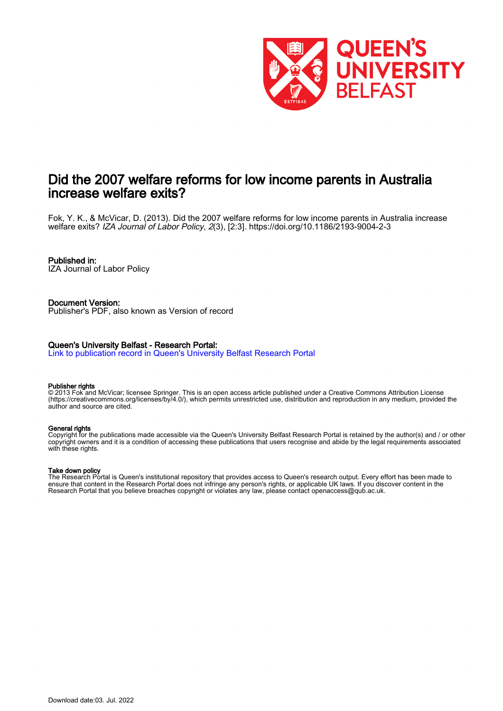

# Did the 2007 welfare reforms for low income parents in Australia increase welfare exits?

Fok, Y. K., & McVicar, D. (2013). Did the 2007 welfare reforms for low income parents in Australia increase welfare exits? IZA Journal of Labor Policy, 2(3), [2:3]. <https://doi.org/10.1186/2193-9004-2-3>

# Published in:

IZA Journal of Labor Policy

Document Version: Publisher's PDF, also known as Version of record

# Queen's University Belfast - Research Portal:

[Link to publication record in Queen's University Belfast Research Portal](https://pure.qub.ac.uk/en/publications/c16791ef-34fc-4ec7-9060-b84b7ee3753e)

#### Publisher rights

© 2013 Fok and McVicar; licensee Springer. This is an open access article published under a Creative Commons Attribution License (https://creativecommons.org/licenses/by/4.0/), which permits unrestricted use, distribution and reproduction in any medium, provided the author and source are cited.

# General rights

Copyright for the publications made accessible via the Queen's University Belfast Research Portal is retained by the author(s) and / or other copyright owners and it is a condition of accessing these publications that users recognise and abide by the legal requirements associated with these rights.

# Take down policy

The Research Portal is Queen's institutional repository that provides access to Queen's research output. Every effort has been made to ensure that content in the Research Portal does not infringe any person's rights, or applicable UK laws. If you discover content in the Research Portal that you believe breaches copyright or violates any law, please contact openaccess@qub.ac.uk.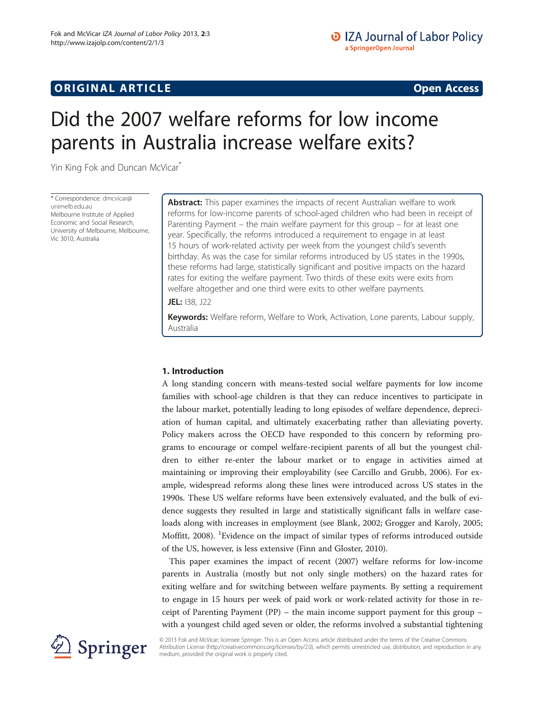# **ORIGINAL ARTICLE CONSERVANCE IN A LOCAL CONSERVANCE IN A LOCAL CONSERVANCE IN A LOCAL CONSERVANCE IN A LOCAL CONSERVANCE IN A LOCAL CONSERVANCE IN A LOCAL CONSERVANCE IN A LOCAL CONSERVANCE IN A LOCAL CONSERVANCE IN A L**

# Did the 2007 welfare reforms for low income parents in Australia increase welfare exits?

Yin King Fok and Duncan McVicar<sup>\*</sup>

\* Correspondence: [dmcvicar@](mailto:dmcvicar@unimelb.edu.au) [unimelb.edu.au](mailto:dmcvicar@unimelb.edu.au) Melbourne Institute of Applied Economic and Social Research, University of Melbourne, Melbourne, Vic 3010, Australia

Abstract: This paper examines the impacts of recent Australian welfare to work reforms for low-income parents of school-aged children who had been in receipt of Parenting Payment – the main welfare payment for this group – for at least one year. Specifically, the reforms introduced a requirement to engage in at least 15 hours of work-related activity per week from the youngest child's seventh birthday. As was the case for similar reforms introduced by US states in the 1990s, these reforms had large, statistically significant and positive impacts on the hazard rates for exiting the welfare payment. Two thirds of these exits were exits from welfare altogether and one third were exits to other welfare payments.

JEL: 138, J22

Keywords: Welfare reform, Welfare to Work, Activation, Lone parents, Labour supply, Australia

# 1. Introduction

A long standing concern with means-tested social welfare payments for low income families with school-age children is that they can reduce incentives to participate in the labour market, potentially leading to long episodes of welfare dependence, depreciation of human capital, and ultimately exacerbating rather than alleviating poverty. Policy makers across the OECD have responded to this concern by reforming programs to encourage or compel welfare-recipient parents of all but the youngest children to either re-enter the labour market or to engage in activities aimed at maintaining or improving their employability (see Carcillo and Grubb, [2006](#page-21-0)). For example, widespread reforms along these lines were introduced across US states in the 1990s. These US welfare reforms have been extensively evaluated, and the bulk of evidence suggests they resulted in large and statistically significant falls in welfare caseloads along with increases in employment (see Blank, [2002](#page-21-0); Grogger and Karoly, [2005](#page-21-0); Moffitt, [2008\)](#page-21-0). <sup>1</sup>Evidence on the impact of similar types of reforms introduced outside of the US, however, is less extensive (Finn and Gloster, [2010](#page-21-0)).

This paper examines the impact of recent (2007) welfare reforms for low-income parents in Australia (mostly but not only single mothers) on the hazard rates for exiting welfare and for switching between welfare payments. By setting a requirement to engage in 15 hours per week of paid work or work-related activity for those in receipt of Parenting Payment (PP) – the main income support payment for this group – with a youngest child aged seven or older, the reforms involved a substantial tightening



© 2013 Fok and McVicar; licensee Springer. This is an Open Access article distributed under the terms of the Creative Commons Attribution License [\(http://creativecommons.org/licenses/by/2.0\)](http://creativecommons.org/licenses/by/2.0), which permits unrestricted use, distribution, and reproduction in any medium, provided the original work is properly cited.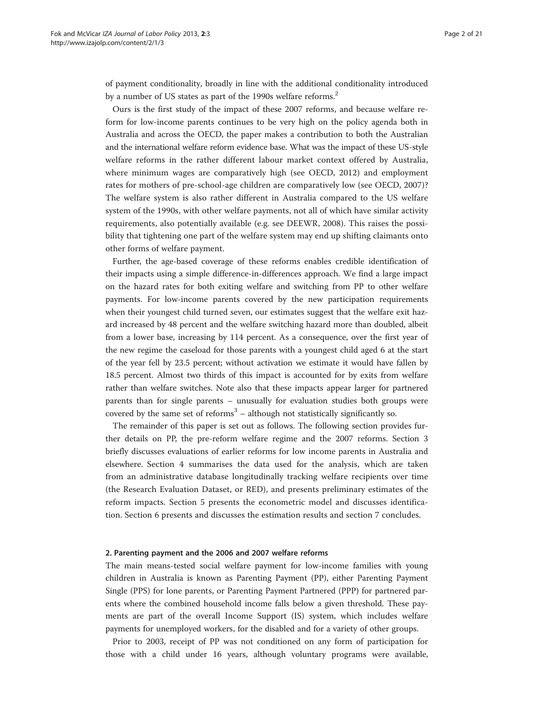<span id="page-2-0"></span>of payment conditionality, broadly in line with the additional conditionality introduced by a number of US states as part of the 1990s welfare reforms.<sup>2</sup>

Ours is the first study of the impact of these 2007 reforms, and because welfare reform for low-income parents continues to be very high on the policy agenda both in Australia and across the OECD, the paper makes a contribution to both the Australian and the international welfare reform evidence base. What was the impact of these US-style welfare reforms in the rather different labour market context offered by Australia, where minimum wages are comparatively high (see OECD, [2012](#page-21-0)) and employment rates for mothers of pre-school-age children are comparatively low (see OECD, [2007\)](#page-21-0)? The welfare system is also rather different in Australia compared to the US welfare system of the 1990s, with other welfare payments, not all of which have similar activity requirements, also potentially available (e.g. see DEEWR, [2008](#page-21-0)). This raises the possibility that tightening one part of the welfare system may end up shifting claimants onto other forms of welfare payment.

Further, the age-based coverage of these reforms enables credible identification of their impacts using a simple difference-in-differences approach. We find a large impact on the hazard rates for both exiting welfare and switching from PP to other welfare payments. For low-income parents covered by the new participation requirements when their youngest child turned seven, our estimates suggest that the welfare exit hazard increased by 48 percent and the welfare switching hazard more than doubled, albeit from a lower base, increasing by 114 percent. As a consequence, over the first year of the new regime the caseload for those parents with a youngest child aged 6 at the start of the year fell by 23.5 percent; without activation we estimate it would have fallen by 18.5 percent. Almost two thirds of this impact is accounted for by exits from welfare rather than welfare switches. Note also that these impacts appear larger for partnered parents than for single parents – unusually for evaluation studies both groups were covered by the same set of reforms<sup>3</sup> – although not statistically significantly so.

The remainder of this paper is set out as follows. The following section provides further details on PP, the pre-reform welfare regime and the 2007 reforms. Section [3](#page-4-0) briefly discusses evaluations of earlier reforms for low income parents in Australia and elsewhere. Section [4](#page-6-0) summarises the data used for the analysis, which are taken from an administrative database longitudinally tracking welfare recipients over time (the Research Evaluation Dataset, or RED), and presents preliminary estimates of the reform impacts. Section [5](#page-11-0) presents the econometric model and discusses identification. Section [6](#page-13-0) presents and discusses the estimation results and section [7](#page-17-0) concludes.

### 2. Parenting payment and the 2006 and 2007 welfare reforms

The main means-tested social welfare payment for low-income families with young children in Australia is known as Parenting Payment (PP), either Parenting Payment Single (PPS) for lone parents, or Parenting Payment Partnered (PPP) for partnered parents where the combined household income falls below a given threshold. These payments are part of the overall Income Support (IS) system, which includes welfare payments for unemployed workers, for the disabled and for a variety of other groups.

Prior to 2003, receipt of PP was not conditioned on any form of participation for those with a child under 16 years, although voluntary programs were available,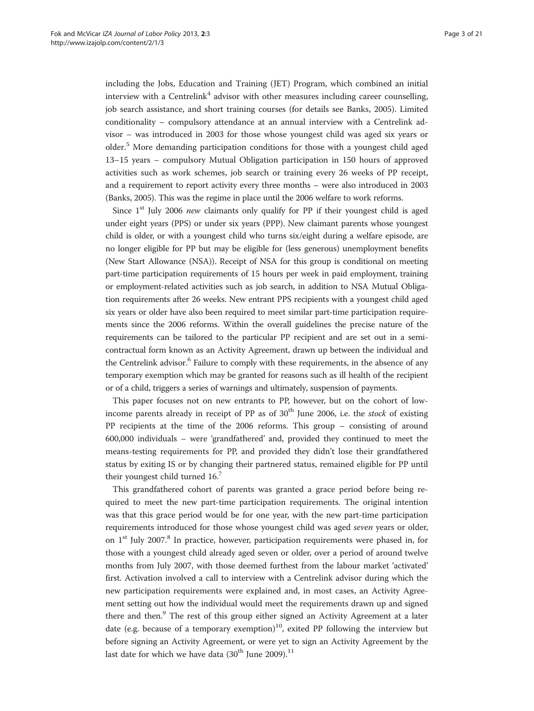including the Jobs, Education and Training (JET) Program, which combined an initial interview with a Centrelink<sup>4</sup> advisor with other measures including career counselling, job search assistance, and short training courses (for details see Banks, [2005](#page-21-0)). Limited conditionality – compulsory attendance at an annual interview with a Centrelink advisor – was introduced in 2003 for those whose youngest child was aged six years or older.<sup>5</sup> More demanding participation conditions for those with a youngest child aged 13–15 years – compulsory Mutual Obligation participation in 150 hours of approved activities such as work schemes, job search or training every 26 weeks of PP receipt, and a requirement to report activity every three months – were also introduced in 2003 (Banks, [2005](#page-21-0)). This was the regime in place until the 2006 welfare to work reforms.

Since  $1<sup>st</sup>$  July 2006 *new* claimants only qualify for PP if their youngest child is aged under eight years (PPS) or under six years (PPP). New claimant parents whose youngest child is older, or with a youngest child who turns six/eight during a welfare episode, are no longer eligible for PP but may be eligible for (less generous) unemployment benefits (New Start Allowance (NSA)). Receipt of NSA for this group is conditional on meeting part-time participation requirements of 15 hours per week in paid employment, training or employment-related activities such as job search, in addition to NSA Mutual Obligation requirements after 26 weeks. New entrant PPS recipients with a youngest child aged six years or older have also been required to meet similar part-time participation requirements since the 2006 reforms. Within the overall guidelines the precise nature of the requirements can be tailored to the particular PP recipient and are set out in a semicontractual form known as an Activity Agreement, drawn up between the individual and the Centrelink advisor.<sup>6</sup> Failure to comply with these requirements, in the absence of any temporary exemption which may be granted for reasons such as ill health of the recipient or of a child, triggers a series of warnings and ultimately, suspension of payments.

This paper focuses not on new entrants to PP, however, but on the cohort of lowincome parents already in receipt of PP as of  $30<sup>th</sup>$  June 2006, i.e. the stock of existing PP recipients at the time of the 2006 reforms. This group – consisting of around 600,000 individuals – were 'grandfathered' and, provided they continued to meet the means-testing requirements for PP, and provided they didn't lose their grandfathered status by exiting IS or by changing their partnered status, remained eligible for PP until their youngest child turned 16.<sup>7</sup>

This grandfathered cohort of parents was granted a grace period before being required to meet the new part-time participation requirements. The original intention was that this grace period would be for one year, with the new part-time participation requirements introduced for those whose youngest child was aged seven years or older, on  $1<sup>st</sup>$  July 2007.<sup>8</sup> In practice, however, participation requirements were phased in, for those with a youngest child already aged seven or older, over a period of around twelve months from July 2007, with those deemed furthest from the labour market 'activated' first. Activation involved a call to interview with a Centrelink advisor during which the new participation requirements were explained and, in most cases, an Activity Agreement setting out how the individual would meet the requirements drawn up and signed there and then.<sup>9</sup> The rest of this group either signed an Activity Agreement at a later date (e.g. because of a temporary exemption)<sup>10</sup>, exited PP following the interview but before signing an Activity Agreement, or were yet to sign an Activity Agreement by the last date for which we have data  $(30<sup>th</sup>)$  June 2009).<sup>11</sup>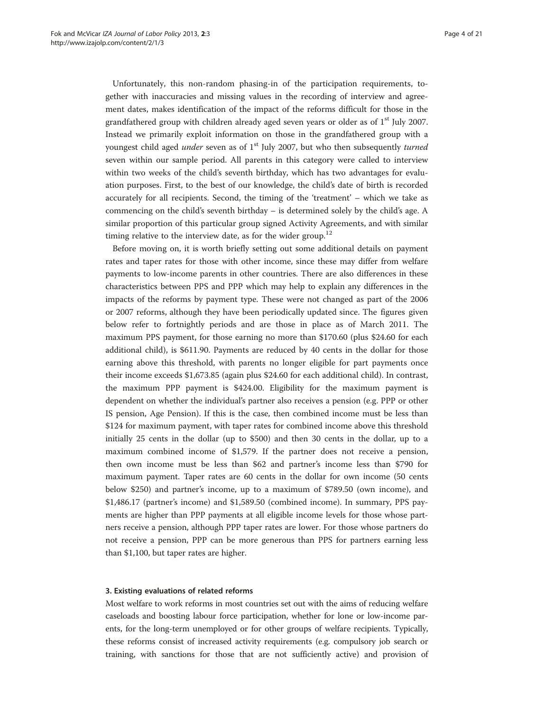<span id="page-4-0"></span>Unfortunately, this non-random phasing-in of the participation requirements, together with inaccuracies and missing values in the recording of interview and agreement dates, makes identification of the impact of the reforms difficult for those in the grandfathered group with children already aged seven years or older as of  $1<sup>st</sup>$  July 2007. Instead we primarily exploit information on those in the grandfathered group with a youngest child aged *under* seven as of  $1<sup>st</sup>$  July 2007, but who then subsequently *turned* seven within our sample period. All parents in this category were called to interview within two weeks of the child's seventh birthday, which has two advantages for evaluation purposes. First, to the best of our knowledge, the child's date of birth is recorded accurately for all recipients. Second, the timing of the 'treatment' – which we take as commencing on the child's seventh birthday – is determined solely by the child's age. A similar proportion of this particular group signed Activity Agreements, and with similar timing relative to the interview date, as for the wider group.<sup>12</sup>

Before moving on, it is worth briefly setting out some additional details on payment rates and taper rates for those with other income, since these may differ from welfare payments to low-income parents in other countries. There are also differences in these characteristics between PPS and PPP which may help to explain any differences in the impacts of the reforms by payment type. These were not changed as part of the 2006 or 2007 reforms, although they have been periodically updated since. The figures given below refer to fortnightly periods and are those in place as of March 2011. The maximum PPS payment, for those earning no more than \$170.60 (plus \$24.60 for each additional child), is \$611.90. Payments are reduced by 40 cents in the dollar for those earning above this threshold, with parents no longer eligible for part payments once their income exceeds \$1,673.85 (again plus \$24.60 for each additional child). In contrast, the maximum PPP payment is \$424.00. Eligibility for the maximum payment is dependent on whether the individual's partner also receives a pension (e.g. PPP or other IS pension, Age Pension). If this is the case, then combined income must be less than \$124 for maximum payment, with taper rates for combined income above this threshold initially 25 cents in the dollar (up to \$500) and then 30 cents in the dollar, up to a maximum combined income of \$1,579. If the partner does not receive a pension, then own income must be less than \$62 and partner's income less than \$790 for maximum payment. Taper rates are 60 cents in the dollar for own income (50 cents below \$250) and partner's income, up to a maximum of \$789.50 (own income), and \$1,486.17 (partner's income) and \$1,589.50 (combined income). In summary, PPS payments are higher than PPP payments at all eligible income levels for those whose partners receive a pension, although PPP taper rates are lower. For those whose partners do not receive a pension, PPP can be more generous than PPS for partners earning less than \$1,100, but taper rates are higher.

#### 3. Existing evaluations of related reforms

Most welfare to work reforms in most countries set out with the aims of reducing welfare caseloads and boosting labour force participation, whether for lone or low-income parents, for the long-term unemployed or for other groups of welfare recipients. Typically, these reforms consist of increased activity requirements (e.g. compulsory job search or training, with sanctions for those that are not sufficiently active) and provision of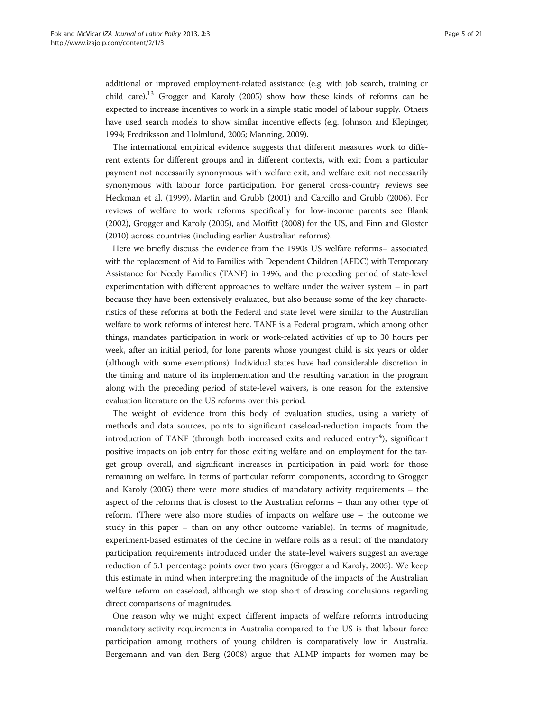additional or improved employment-related assistance (e.g. with job search, training or child care).<sup>13</sup> Grogger and Karoly [\(2005](#page-21-0)) show how these kinds of reforms can be expected to increase incentives to work in a simple static model of labour supply. Others have used search models to show similar incentive effects (e.g. Johnson and Klepinger, [1994;](#page-21-0) Fredriksson and Holmlund, [2005;](#page-21-0) Manning, [2009\)](#page-21-0).

The international empirical evidence suggests that different measures work to different extents for different groups and in different contexts, with exit from a particular payment not necessarily synonymous with welfare exit, and welfare exit not necessarily synonymous with labour force participation. For general cross-country reviews see Heckman et al. [\(1999\)](#page-21-0), Martin and Grubb [\(2001](#page-21-0)) and Carcillo and Grubb ([2006\)](#page-21-0). For reviews of welfare to work reforms specifically for low-income parents see Blank ([2002](#page-21-0)), Grogger and Karoly ([2005\)](#page-21-0), and Moffitt ([2008](#page-21-0)) for the US, and Finn and Gloster ([2010](#page-21-0)) across countries (including earlier Australian reforms).

Here we briefly discuss the evidence from the 1990s US welfare reforms– associated with the replacement of Aid to Families with Dependent Children (AFDC) with Temporary Assistance for Needy Families (TANF) in 1996, and the preceding period of state-level experimentation with different approaches to welfare under the waiver system – in part because they have been extensively evaluated, but also because some of the key characteristics of these reforms at both the Federal and state level were similar to the Australian welfare to work reforms of interest here. TANF is a Federal program, which among other things, mandates participation in work or work-related activities of up to 30 hours per week, after an initial period, for lone parents whose youngest child is six years or older (although with some exemptions). Individual states have had considerable discretion in the timing and nature of its implementation and the resulting variation in the program along with the preceding period of state-level waivers, is one reason for the extensive evaluation literature on the US reforms over this period.

The weight of evidence from this body of evaluation studies, using a variety of methods and data sources, points to significant caseload-reduction impacts from the introduction of TANF (through both increased exits and reduced entry<sup>14</sup>), significant positive impacts on job entry for those exiting welfare and on employment for the target group overall, and significant increases in participation in paid work for those remaining on welfare. In terms of particular reform components, according to Grogger and Karoly ([2005](#page-21-0)) there were more studies of mandatory activity requirements – the aspect of the reforms that is closest to the Australian reforms – than any other type of reform. (There were also more studies of impacts on welfare use – the outcome we study in this paper – than on any other outcome variable). In terms of magnitude, experiment-based estimates of the decline in welfare rolls as a result of the mandatory participation requirements introduced under the state-level waivers suggest an average reduction of 5.1 percentage points over two years (Grogger and Karoly, [2005](#page-21-0)). We keep this estimate in mind when interpreting the magnitude of the impacts of the Australian welfare reform on caseload, although we stop short of drawing conclusions regarding direct comparisons of magnitudes.

One reason why we might expect different impacts of welfare reforms introducing mandatory activity requirements in Australia compared to the US is that labour force participation among mothers of young children is comparatively low in Australia. Bergemann and van den Berg ([2008\)](#page-21-0) argue that ALMP impacts for women may be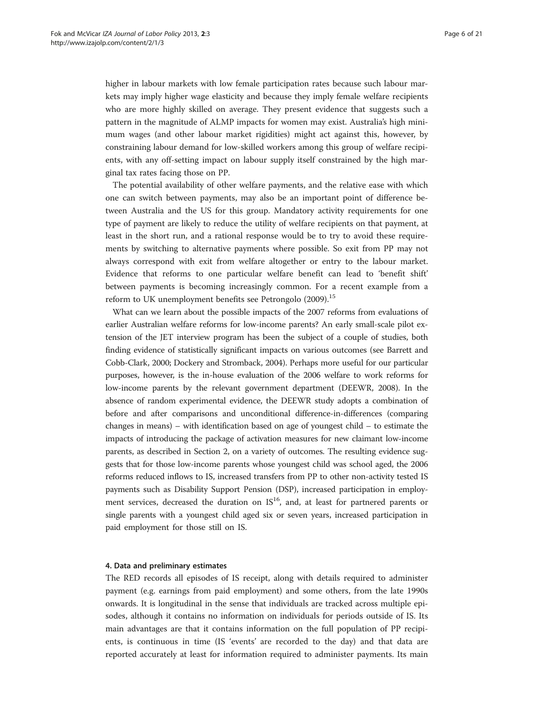<span id="page-6-0"></span>higher in labour markets with low female participation rates because such labour markets may imply higher wage elasticity and because they imply female welfare recipients who are more highly skilled on average. They present evidence that suggests such a pattern in the magnitude of ALMP impacts for women may exist. Australia's high minimum wages (and other labour market rigidities) might act against this, however, by constraining labour demand for low-skilled workers among this group of welfare recipients, with any off-setting impact on labour supply itself constrained by the high marginal tax rates facing those on PP.

The potential availability of other welfare payments, and the relative ease with which one can switch between payments, may also be an important point of difference between Australia and the US for this group. Mandatory activity requirements for one type of payment are likely to reduce the utility of welfare recipients on that payment, at least in the short run, and a rational response would be to try to avoid these requirements by switching to alternative payments where possible. So exit from PP may not always correspond with exit from welfare altogether or entry to the labour market. Evidence that reforms to one particular welfare benefit can lead to 'benefit shift' between payments is becoming increasingly common. For a recent example from a reform to UK unemployment benefits see Petrongolo [\(2009\)](#page-21-0).<sup>15</sup>

What can we learn about the possible impacts of the 2007 reforms from evaluations of earlier Australian welfare reforms for low-income parents? An early small-scale pilot extension of the JET interview program has been the subject of a couple of studies, both finding evidence of statistically significant impacts on various outcomes (see Barrett and Cobb-Clark, [2000;](#page-21-0) Dockery and Stromback, [2004](#page-21-0)). Perhaps more useful for our particular purposes, however, is the in-house evaluation of the 2006 welfare to work reforms for low-income parents by the relevant government department (DEEWR, [2008](#page-21-0)). In the absence of random experimental evidence, the DEEWR study adopts a combination of before and after comparisons and unconditional difference-in-differences (comparing changes in means) – with identification based on age of youngest child – to estimate the impacts of introducing the package of activation measures for new claimant low-income parents, as described in Section [2](#page-2-0), on a variety of outcomes. The resulting evidence suggests that for those low-income parents whose youngest child was school aged, the 2006 reforms reduced inflows to IS, increased transfers from PP to other non-activity tested IS payments such as Disability Support Pension (DSP), increased participation in employment services, decreased the duration on  $IS^{16}$ , and, at least for partnered parents or single parents with a youngest child aged six or seven years, increased participation in paid employment for those still on IS.

#### 4. Data and preliminary estimates

The RED records all episodes of IS receipt, along with details required to administer payment (e.g. earnings from paid employment) and some others, from the late 1990s onwards. It is longitudinal in the sense that individuals are tracked across multiple episodes, although it contains no information on individuals for periods outside of IS. Its main advantages are that it contains information on the full population of PP recipients, is continuous in time (IS 'events' are recorded to the day) and that data are reported accurately at least for information required to administer payments. Its main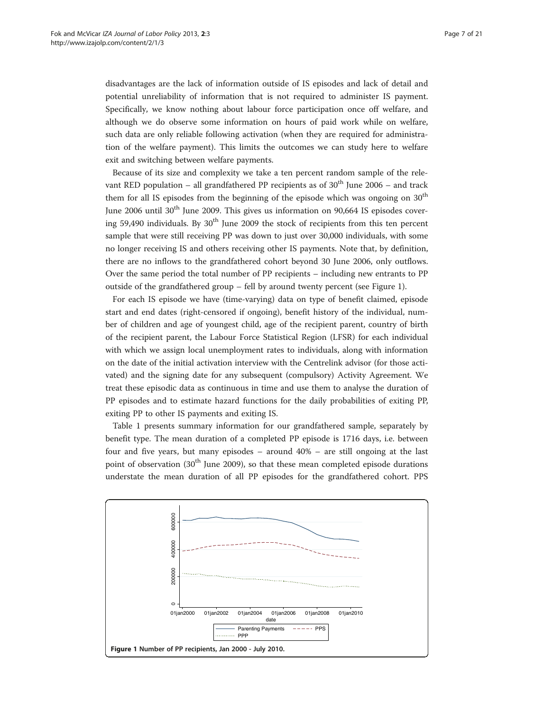disadvantages are the lack of information outside of IS episodes and lack of detail and potential unreliability of information that is not required to administer IS payment. Specifically, we know nothing about labour force participation once off welfare, and although we do observe some information on hours of paid work while on welfare, such data are only reliable following activation (when they are required for administration of the welfare payment). This limits the outcomes we can study here to welfare exit and switching between welfare payments.

Because of its size and complexity we take a ten percent random sample of the relevant RED population – all grandfathered PP recipients as of  $30<sup>th</sup>$  June 2006 – and track them for all IS episodes from the beginning of the episode which was ongoing on  $30<sup>th</sup>$ June 2006 until  $30<sup>th</sup>$  June 2009. This gives us information on 90,664 IS episodes covering 59,490 individuals. By  $30<sup>th</sup>$  June 2009 the stock of recipients from this ten percent sample that were still receiving PP was down to just over 30,000 individuals, with some no longer receiving IS and others receiving other IS payments. Note that, by definition, there are no inflows to the grandfathered cohort beyond 30 June 2006, only outflows. Over the same period the total number of PP recipients – including new entrants to PP outside of the grandfathered group – fell by around twenty percent (see Figure 1).

For each IS episode we have (time-varying) data on type of benefit claimed, episode start and end dates (right-censored if ongoing), benefit history of the individual, number of children and age of youngest child, age of the recipient parent, country of birth of the recipient parent, the Labour Force Statistical Region (LFSR) for each individual with which we assign local unemployment rates to individuals, along with information on the date of the initial activation interview with the Centrelink advisor (for those activated) and the signing date for any subsequent (compulsory) Activity Agreement. We treat these episodic data as continuous in time and use them to analyse the duration of PP episodes and to estimate hazard functions for the daily probabilities of exiting PP, exiting PP to other IS payments and exiting IS.

Table [1](#page-8-0) presents summary information for our grandfathered sample, separately by benefit type. The mean duration of a completed PP episode is 1716 days, i.e. between four and five years, but many episodes – around 40% – are still ongoing at the last point of observation  $(30<sup>th</sup>)$  June 2009), so that these mean completed episode durations understate the mean duration of all PP episodes for the grandfathered cohort. PPS

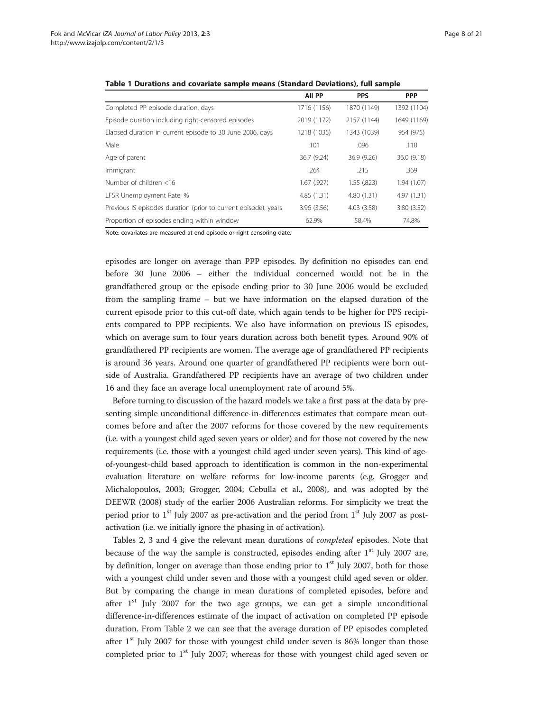|                                                                 | All PP        | <b>PPS</b>  | <b>PPP</b>  |
|-----------------------------------------------------------------|---------------|-------------|-------------|
| Completed PP episode duration, days                             | 1716 (1156)   | 1870 (1149) | 1392 (1104) |
| Episode duration including right-censored episodes              | 2019 (1172)   | 2157 (1144) | 1649 (1169) |
| Elapsed duration in current episode to 30 June 2006, days       | 1218 (1035)   | 1343 (1039) | 954 (975)   |
| Male                                                            | .101          | .096        | .110        |
| Age of parent                                                   | 36.7 (9.24)   | 36.9 (9.26) | 36.0 (9.18) |
| Immigrant                                                       | .264          | .215        | .369        |
| Number of children <16                                          | $1.67$ (.927) | 1.55(.823)  | 1.94(1.07)  |
| LFSR Unemployment Rate, %                                       | 4.85(1.31)    | 4.80 (1.31) | 4.97 (1.31) |
| Previous IS episodes duration (prior to current episode), years | 3.96(3.56)    | 4.03 (3.58) | 3.80(3.52)  |
| Proportion of episodes ending within window                     | 62.9%         | 58.4%       | 74.8%       |

<span id="page-8-0"></span>Table 1 Durations and covariate sample means (Standard Deviations), full sample

Note: covariates are measured at end episode or right-censoring date.

episodes are longer on average than PPP episodes. By definition no episodes can end before 30 June 2006 – either the individual concerned would not be in the grandfathered group or the episode ending prior to 30 June 2006 would be excluded from the sampling frame – but we have information on the elapsed duration of the current episode prior to this cut-off date, which again tends to be higher for PPS recipients compared to PPP recipients. We also have information on previous IS episodes, which on average sum to four years duration across both benefit types. Around 90% of grandfathered PP recipients are women. The average age of grandfathered PP recipients is around 36 years. Around one quarter of grandfathered PP recipients were born outside of Australia. Grandfathered PP recipients have an average of two children under 16 and they face an average local unemployment rate of around 5%.

Before turning to discussion of the hazard models we take a first pass at the data by presenting simple unconditional difference-in-differences estimates that compare mean outcomes before and after the 2007 reforms for those covered by the new requirements (i.e. with a youngest child aged seven years or older) and for those not covered by the new requirements (i.e. those with a youngest child aged under seven years). This kind of ageof-youngest-child based approach to identification is common in the non-experimental evaluation literature on welfare reforms for low-income parents (e.g. Grogger and Michalopoulos, [2003;](#page-21-0) Grogger, [2004](#page-21-0); Cebulla et al., [2008\)](#page-21-0), and was adopted by the DEEWR [\(2008](#page-21-0)) study of the earlier 2006 Australian reforms. For simplicity we treat the period prior to  $1<sup>st</sup>$  July 2007 as pre-activation and the period from  $1<sup>st</sup>$  July 2007 as postactivation (i.e. we initially ignore the phasing in of activation).

Tables [2, 3](#page-9-0) and [4](#page-10-0) give the relevant mean durations of completed episodes. Note that because of the way the sample is constructed, episodes ending after 1<sup>st</sup> July 2007 are, by definition, longer on average than those ending prior to  $1<sup>st</sup>$  July 2007, both for those with a youngest child under seven and those with a youngest child aged seven or older. But by comparing the change in mean durations of completed episodes, before and after  $1<sup>st</sup>$  July 2007 for the two age groups, we can get a simple unconditional difference-in-differences estimate of the impact of activation on completed PP episode duration. From Table [2](#page-9-0) we can see that the average duration of PP episodes completed after  $1<sup>st</sup>$  July 2007 for those with youngest child under seven is 86% longer than those completed prior to 1<sup>st</sup> July 2007; whereas for those with youngest child aged seven or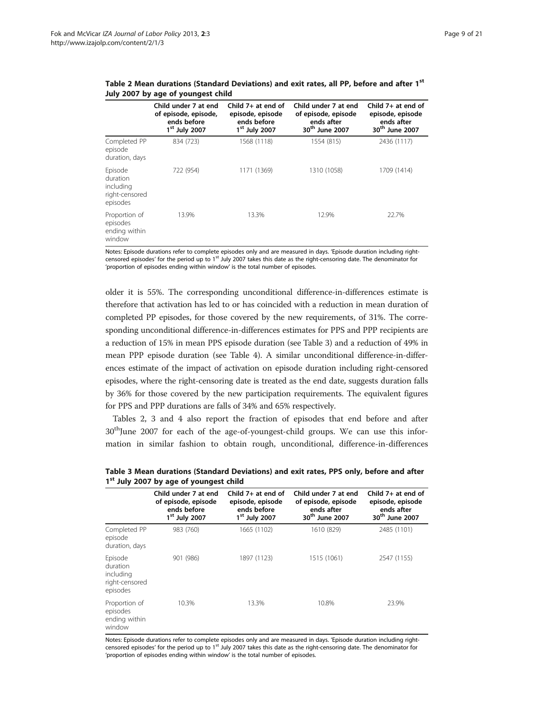|                                                                | Child under 7 at end<br>of episode, episode,<br>ends before<br>1 <sup>st</sup> July 2007 | Child $7+$ at end of<br>episode, episode<br>ends before<br>1 <sup>st</sup> July 2007 | Child under 7 at end<br>of episode, episode<br>ends after<br>30 <sup>th</sup> June 2007 | Child $7+$ at end of<br>episode, episode<br>ends after<br>30 <sup>th</sup> June 2007 |
|----------------------------------------------------------------|------------------------------------------------------------------------------------------|--------------------------------------------------------------------------------------|-----------------------------------------------------------------------------------------|--------------------------------------------------------------------------------------|
| Completed PP<br>episode<br>duration, days                      | 834 (723)                                                                                | 1568 (1118)                                                                          | 1554 (815)                                                                              | 2436 (1117)                                                                          |
| Episode<br>duration<br>including<br>right-censored<br>episodes | 722 (954)                                                                                | 1171 (1369)                                                                          | 1310 (1058)                                                                             | 1709 (1414)                                                                          |
| Proportion of<br>episodes<br>ending within<br>window           | 13.9%                                                                                    | 13.3%                                                                                | 12.9%                                                                                   | 22.7%                                                                                |

<span id="page-9-0"></span>

| Table 2 Mean durations (Standard Deviations) and exit rates, all PP, before and after 1 <sup>st</sup> |
|-------------------------------------------------------------------------------------------------------|
| July 2007 by age of youngest child                                                                    |

Notes: Episode durations refer to complete episodes only and are measured in days. 'Episode duration including rightcensored episodes' for the period up to 1<sup>st</sup> July 2007 takes this date as the right-censoring date. The denominator for 'proportion of episodes ending within window' is the total number of episodes.

older it is 55%. The corresponding unconditional difference-in-differences estimate is therefore that activation has led to or has coincided with a reduction in mean duration of completed PP episodes, for those covered by the new requirements, of 31%. The corresponding unconditional difference-in-differences estimates for PPS and PPP recipients are a reduction of 15% in mean PPS episode duration (see Table 3) and a reduction of 49% in mean PPP episode duration (see Table [4](#page-10-0)). A similar unconditional difference-in-differences estimate of the impact of activation on episode duration including right-censored episodes, where the right-censoring date is treated as the end date, suggests duration falls by 36% for those covered by the new participation requirements. The equivalent figures for PPS and PPP durations are falls of 34% and 65% respectively.

Tables 2, 3 and [4](#page-10-0) also report the fraction of episodes that end before and after 30thJune 2007 for each of the age-of-youngest-child groups. We can use this information in similar fashion to obtain rough, unconditional, difference-in-differences

|                                                                | Child under 7 at end<br>of episode, episode<br>ends before<br>1 <sup>st</sup> July 2007 | Child $7+$ at end of<br>episode, episode<br>ends before<br>1 <sup>st</sup> July 2007 | Child under 7 at end<br>of episode, episode<br>ends after<br>30 <sup>th</sup> June 2007 | Child $7+$ at end of<br>episode, episode<br>ends after<br>30 <sup>th</sup> June 2007 |
|----------------------------------------------------------------|-----------------------------------------------------------------------------------------|--------------------------------------------------------------------------------------|-----------------------------------------------------------------------------------------|--------------------------------------------------------------------------------------|
| Completed PP<br>episode<br>duration, days                      | 983 (760)                                                                               | 1665 (1102)                                                                          | 1610 (829)                                                                              | 2485 (1101)                                                                          |
| Episode<br>duration<br>including<br>right-censored<br>episodes | 901 (986)                                                                               | 1897 (1123)                                                                          | 1515 (1061)                                                                             | 2547 (1155)                                                                          |
| Proportion of<br>episodes<br>ending within<br>window           | 10.3%                                                                                   | 13.3%                                                                                | 10.8%                                                                                   | 23.9%                                                                                |

Table 3 Mean durations (Standard Deviations) and exit rates, PPS only, before and after 1<sup>st</sup> July 2007 by age of youngest child

Notes: Episode durations refer to complete episodes only and are measured in days. 'Episode duration including rightcensored episodes' for the period up to 1<sup>st</sup> July 2007 takes this date as the right-censoring date. The denominator for 'proportion of episodes ending within window' is the total number of episodes.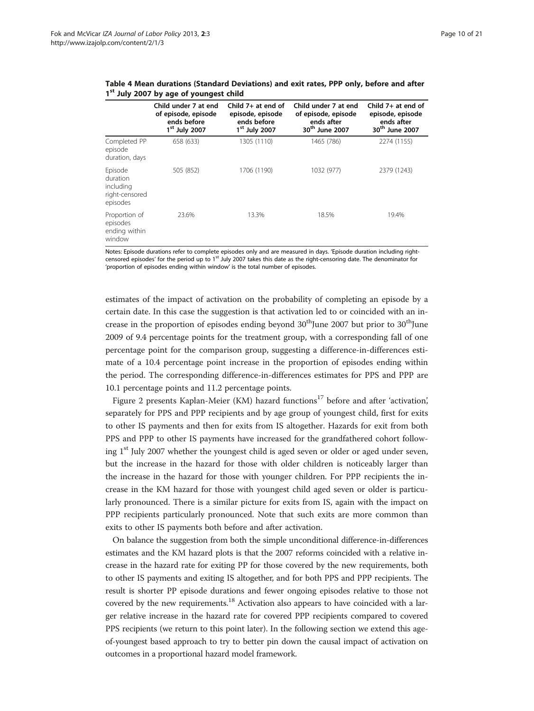|                                                                | Child under 7 at end<br>of episode, episode<br>ends before<br>1 <sup>st</sup> July 2007 | Child $7+$ at end of<br>episode, episode<br>ends before<br>1 <sup>st</sup> July 2007 | Child under 7 at end<br>of episode, episode<br>ends after<br>30 <sup>th</sup> June 2007 | Child $7+$ at end of<br>episode, episode<br>ends after<br>30 <sup>th</sup> June 2007 |
|----------------------------------------------------------------|-----------------------------------------------------------------------------------------|--------------------------------------------------------------------------------------|-----------------------------------------------------------------------------------------|--------------------------------------------------------------------------------------|
| Completed PP<br>episode<br>duration, days                      | 658 (633)                                                                               | 1305 (1110)                                                                          | 1465 (786)                                                                              | 2274 (1155)                                                                          |
| Episode<br>duration<br>including<br>right-censored<br>episodes | 505 (852)                                                                               | 1706 (1190)                                                                          | 1032 (977)                                                                              | 2379 (1243)                                                                          |
| Proportion of<br>episodes<br>ending within<br>window           | 23.6%                                                                                   | 13.3%                                                                                | 18.5%                                                                                   | 19.4%                                                                                |

<span id="page-10-0"></span>

| Table 4 Mean durations (Standard Deviations) and exit rates, PPP only, before and after |  |  |
|-----------------------------------------------------------------------------------------|--|--|
| 1 <sup>st</sup> July 2007 by age of youngest child                                      |  |  |

Notes: Episode durations refer to complete episodes only and are measured in days. 'Episode duration including rightcensored episodes' for the period up to 1<sup>st</sup> July 2007 takes this date as the right-censoring date. The denominator for 'proportion of episodes ending within window' is the total number of episodes.

estimates of the impact of activation on the probability of completing an episode by a certain date. In this case the suggestion is that activation led to or coincided with an increase in the proportion of episodes ending beyond  $30<sup>th</sup>$  June 2007 but prior to  $30<sup>th</sup>$  June 2009 of 9.4 percentage points for the treatment group, with a corresponding fall of one percentage point for the comparison group, suggesting a difference-in-differences estimate of a 10.4 percentage point increase in the proportion of episodes ending within the period. The corresponding difference-in-differences estimates for PPS and PPP are 10.1 percentage points and 11.2 percentage points.

Figure [2](#page-11-0) presents Kaplan-Meier (KM) hazard functions<sup>17</sup> before and after 'activation', separately for PPS and PPP recipients and by age group of youngest child, first for exits to other IS payments and then for exits from IS altogether. Hazards for exit from both PPS and PPP to other IS payments have increased for the grandfathered cohort following 1<sup>st</sup> July 2007 whether the youngest child is aged seven or older or aged under seven, but the increase in the hazard for those with older children is noticeably larger than the increase in the hazard for those with younger children. For PPP recipients the increase in the KM hazard for those with youngest child aged seven or older is particularly pronounced. There is a similar picture for exits from IS, again with the impact on PPP recipients particularly pronounced. Note that such exits are more common than exits to other IS payments both before and after activation.

On balance the suggestion from both the simple unconditional difference-in-differences estimates and the KM hazard plots is that the 2007 reforms coincided with a relative increase in the hazard rate for exiting PP for those covered by the new requirements, both to other IS payments and exiting IS altogether, and for both PPS and PPP recipients. The result is shorter PP episode durations and fewer ongoing episodes relative to those not covered by the new requirements.<sup>18</sup> Activation also appears to have coincided with a larger relative increase in the hazard rate for covered PPP recipients compared to covered PPS recipients (we return to this point later). In the following section we extend this ageof-youngest based approach to try to better pin down the causal impact of activation on outcomes in a proportional hazard model framework.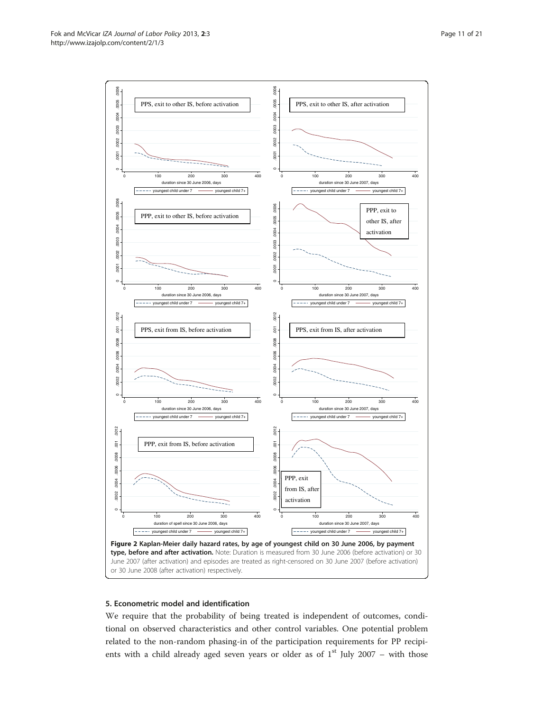<span id="page-11-0"></span>

## 5. Econometric model and identification

We require that the probability of being treated is independent of outcomes, conditional on observed characteristics and other control variables. One potential problem related to the non-random phasing-in of the participation requirements for PP recipients with a child already aged seven years or older as of  $1<sup>st</sup>$  July 2007 – with those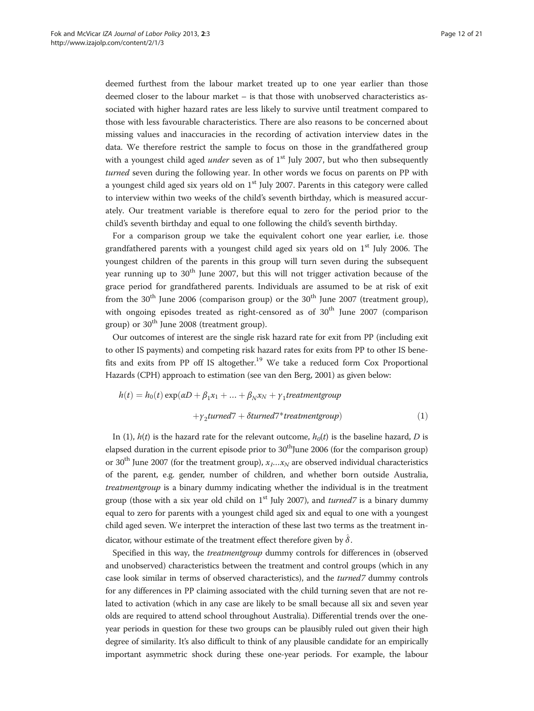<span id="page-12-0"></span>deemed furthest from the labour market treated up to one year earlier than those deemed closer to the labour market – is that those with unobserved characteristics associated with higher hazard rates are less likely to survive until treatment compared to those with less favourable characteristics. There are also reasons to be concerned about missing values and inaccuracies in the recording of activation interview dates in the data. We therefore restrict the sample to focus on those in the grandfathered group with a youngest child aged *under* seven as of  $1<sup>st</sup>$  July 2007, but who then subsequently turned seven during the following year. In other words we focus on parents on PP with a youngest child aged six years old on  $1<sup>st</sup>$  July 2007. Parents in this category were called to interview within two weeks of the child's seventh birthday, which is measured accurately. Our treatment variable is therefore equal to zero for the period prior to the child's seventh birthday and equal to one following the child's seventh birthday.

For a comparison group we take the equivalent cohort one year earlier, i.e. those grandfathered parents with a youngest child aged six years old on  $1<sup>st</sup>$  July 2006. The youngest children of the parents in this group will turn seven during the subsequent year running up to  $30<sup>th</sup>$  June 2007, but this will not trigger activation because of the grace period for grandfathered parents. Individuals are assumed to be at risk of exit from the  $30<sup>th</sup>$  June 2006 (comparison group) or the  $30<sup>th</sup>$  June 2007 (treatment group), with ongoing episodes treated as right-censored as of 30<sup>th</sup> June 2007 (comparison group) or  $30<sup>th</sup>$  June 2008 (treatment group).

Our outcomes of interest are the single risk hazard rate for exit from PP (including exit to other IS payments) and competing risk hazard rates for exits from PP to other IS benefits and exits from PP off IS altogether.<sup>19</sup> We take a reduced form Cox Proportional Hazards (CPH) approach to estimation (see van den Berg, [2001](#page-21-0)) as given below:

$$
h(t) = h_0(t) \exp(\alpha D + \beta_1 x_1 + \dots + \beta_N x_N + \gamma_1 treatment group
$$
  
+ $\gamma_2 turned7 + \delta turned7 * treatment group)$  (1)

In (1),  $h(t)$  is the hazard rate for the relevant outcome,  $h_0(t)$  is the baseline hazard, D is elapsed duration in the current episode prior to  $30<sup>th</sup>$  June 2006 (for the comparison group) or 30<sup>th</sup> June 2007 (for the treatment group),  $x_1...x_N$  are observed individual characteristics of the parent, e.g. gender, number of children, and whether born outside Australia, treatmentgroup is a binary dummy indicating whether the individual is in the treatment group (those with a six year old child on  $1<sup>st</sup>$  July 2007), and *turned7* is a binary dummy equal to zero for parents with a youngest child aged six and equal to one with a youngest child aged seven. We interpret the interaction of these last two terms as the treatment indicator, withour estimate of the treatment effect therefore given by  $\delta$ .

Specified in this way, the treatmentgroup dummy controls for differences in (observed and unobserved) characteristics between the treatment and control groups (which in any case look similar in terms of observed characteristics), and the turned7 dummy controls for any differences in PP claiming associated with the child turning seven that are not related to activation (which in any case are likely to be small because all six and seven year olds are required to attend school throughout Australia). Differential trends over the oneyear periods in question for these two groups can be plausibly ruled out given their high degree of similarity. It's also difficult to think of any plausible candidate for an empirically important asymmetric shock during these one-year periods. For example, the labour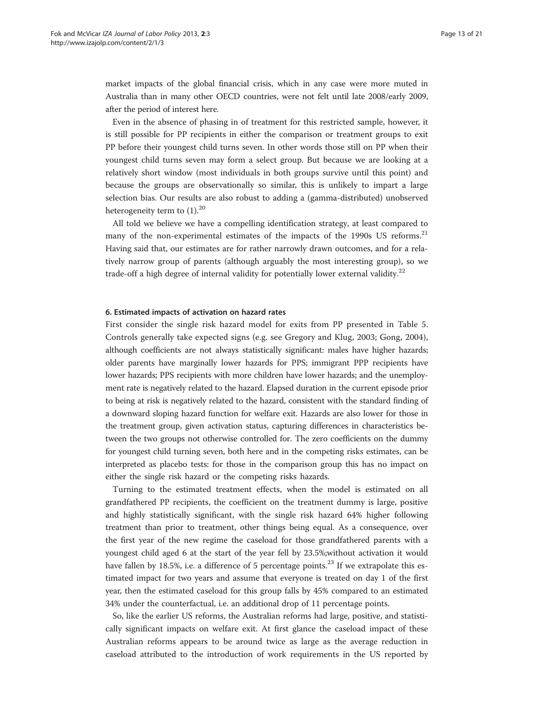<span id="page-13-0"></span>market impacts of the global financial crisis, which in any case were more muted in Australia than in many other OECD countries, were not felt until late 2008/early 2009, after the period of interest here.

Even in the absence of phasing in of treatment for this restricted sample, however, it is still possible for PP recipients in either the comparison or treatment groups to exit PP before their youngest child turns seven. In other words those still on PP when their youngest child turns seven may form a select group. But because we are looking at a relatively short window (most individuals in both groups survive until this point) and because the groups are observationally so similar, this is unlikely to impart a large selection bias. Our results are also robust to adding a (gamma-distributed) unobserved heterogeneity term to  $(1).^{20}$ 

All told we believe we have a compelling identification strategy, at least compared to many of the non-experimental estimates of the impacts of the 1990s US reforms.<sup>21</sup> Having said that, our estimates are for rather narrowly drawn outcomes, and for a relatively narrow group of parents (although arguably the most interesting group), so we trade-off a high degree of internal validity for potentially lower external validity.<sup>22</sup>

#### 6. Estimated impacts of activation on hazard rates

First consider the single risk hazard model for exits from PP presented in Table [5](#page-14-0). Controls generally take expected signs (e.g. see Gregory and Klug, [2003](#page-21-0); Gong, [2004](#page-21-0)), although coefficients are not always statistically significant: males have higher hazards; older parents have marginally lower hazards for PPS; immigrant PPP recipients have lower hazards; PPS recipients with more children have lower hazards; and the unemployment rate is negatively related to the hazard. Elapsed duration in the current episode prior to being at risk is negatively related to the hazard, consistent with the standard finding of a downward sloping hazard function for welfare exit. Hazards are also lower for those in the treatment group, given activation status, capturing differences in characteristics between the two groups not otherwise controlled for. The zero coefficients on the dummy for youngest child turning seven, both here and in the competing risks estimates, can be interpreted as placebo tests: for those in the comparison group this has no impact on either the single risk hazard or the competing risks hazards.

Turning to the estimated treatment effects, when the model is estimated on all grandfathered PP recipients, the coefficient on the treatment dummy is large, positive and highly statistically significant, with the single risk hazard 64% higher following treatment than prior to treatment, other things being equal. As a consequence, over the first year of the new regime the caseload for those grandfathered parents with a youngest child aged 6 at the start of the year fell by 23.5%;without activation it would have fallen by 18.5%, i.e. a difference of 5 percentage points.<sup>23</sup> If we extrapolate this estimated impact for two years and assume that everyone is treated on day 1 of the first year, then the estimated caseload for this group falls by 45% compared to an estimated 34% under the counterfactual, i.e. an additional drop of 11 percentage points.

So, like the earlier US reforms, the Australian reforms had large, positive, and statistically significant impacts on welfare exit. At first glance the caseload impact of these Australian reforms appears to be around twice as large as the average reduction in caseload attributed to the introduction of work requirements in the US reported by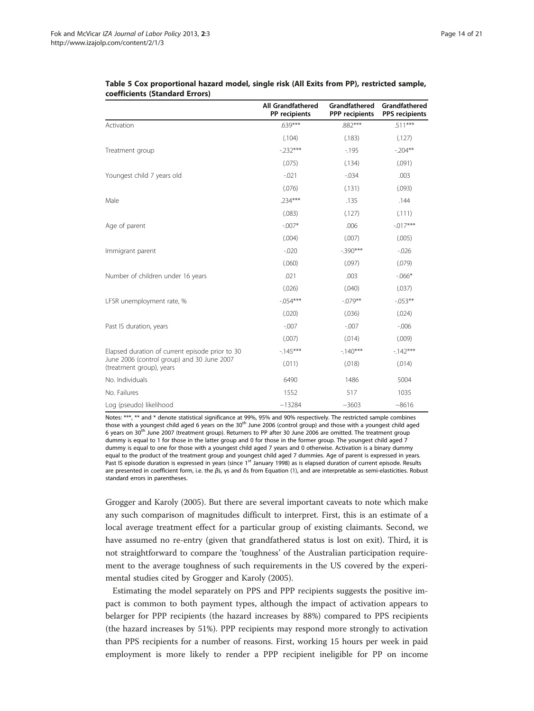|                                                                        | <b>All Grandfathered</b><br>PP recipients | Grandfathered<br>PPP recipients | Grandfathered<br><b>PPS</b> recipients |
|------------------------------------------------------------------------|-------------------------------------------|---------------------------------|----------------------------------------|
| Activation                                                             | $.639***$                                 | .882***                         | .511***                                |
|                                                                        | (.104)                                    | (.183)                          | (.127)                                 |
| Treatment group                                                        | $-.232***$                                | $-195$                          | $-.204**$                              |
|                                                                        | (.075)                                    | (.134)                          | (.091)                                 |
| Youngest child 7 years old                                             | $-0.021$                                  | $-0.034$                        | .003                                   |
|                                                                        | (.076)                                    | (.131)                          | (.093)                                 |
| Male                                                                   | $.234***$                                 | .135                            | .144                                   |
|                                                                        | (.083)                                    | (.127)                          | (.111)                                 |
| Age of parent                                                          | $-.007*$                                  | .006                            | $-0.017***$                            |
|                                                                        | (.004)                                    | (.007)                          | (.005)                                 |
| Immigrant parent                                                       | $-0.020$                                  | $-390***$                       | $-0.026$                               |
|                                                                        | (.060)                                    | (.097)                          | (.079)                                 |
| Number of children under 16 years                                      | .021                                      | .003                            | $-0.066*$                              |
|                                                                        | (.026)                                    | (.040)                          | (.037)                                 |
| LFSR unemployment rate, %                                              | $-0.054***$                               | $-0.079**$                      | $-0.053**$                             |
|                                                                        | (.020)                                    | (.036)                          | (.024)                                 |
| Past IS duration, years                                                | $-.007$                                   | $-0.007$                        | $-0.006$                               |
|                                                                        | (.007)                                    | (.014)                          | (.009)                                 |
| Elapsed duration of current episode prior to 30                        | $-145***$                                 | $-140***$                       | $-142***$                              |
| June 2006 (control group) and 30 June 2007<br>(treatment group), years | (.011)                                    | (.018)                          | (.014)                                 |
| No. Individuals                                                        | 6490                                      | 1486                            | 5004                                   |
| No. Failures                                                           | 1552                                      | 517                             | 1035                                   |
| Log (pseudo) likelihood                                                | $-13284$                                  | $-3603$                         | $-8616$                                |

#### <span id="page-14-0"></span>Table 5 Cox proportional hazard model, single risk (All Exits from PP), restricted sample, coefficients (Standard Errors)

Notes: \*\*\*, \*\* and \* denote statistical significance at 99%, 95% and 90% respectively. The restricted sample combines those with a youngest child aged 6 years on the 30<sup>th</sup> June 2006 (control group) and those with a youngest child aged 6 years on 30th June 2007 (treatment group). Returners to PP after 30 June 2006 are omitted. The treatment group dummy is equal to 1 for those in the latter group and 0 for those in the former group. The youngest child aged 7 dummy is equal to one for those with a youngest child aged 7 years and 0 otherwise. Activation is a binary dummy equal to the product of the treatment group and youngest child aged 7 dummies. Age of parent is expressed in years. Past IS episode duration is expressed in years (since 1st January 1998) as is elapsed duration of current episode. Results are presented in coefficient form, i.e. the  $βs$ , γs and  $δs$  from Equation [\(1\)](#page-12-0), and are interpretable as semi-elasticities. Robust standard errors in parentheses.

Grogger and Karoly ([2005\)](#page-21-0). But there are several important caveats to note which make any such comparison of magnitudes difficult to interpret. First, this is an estimate of a local average treatment effect for a particular group of existing claimants. Second, we have assumed no re-entry (given that grandfathered status is lost on exit). Third, it is not straightforward to compare the 'toughness' of the Australian participation requirement to the average toughness of such requirements in the US covered by the experimental studies cited by Grogger and Karoly [\(2005\)](#page-21-0).

Estimating the model separately on PPS and PPP recipients suggests the positive impact is common to both payment types, although the impact of activation appears to belarger for PPP recipients (the hazard increases by 88%) compared to PPS recipients (the hazard increases by 51%). PPP recipients may respond more strongly to activation than PPS recipients for a number of reasons. First, working 15 hours per week in paid employment is more likely to render a PPP recipient ineligible for PP on income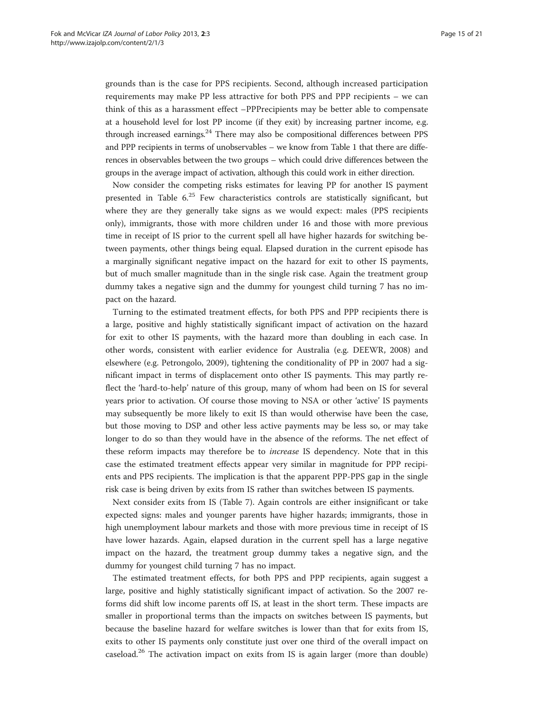grounds than is the case for PPS recipients. Second, although increased participation requirements may make PP less attractive for both PPS and PPP recipients – we can think of this as a harassment effect –PPPrecipients may be better able to compensate at a household level for lost PP income (if they exit) by increasing partner income, e.g. through increased earnings. $^{24}$  There may also be compositional differences between PPS and PPP recipients in terms of unobservables – we know from Table [1](#page-8-0) that there are differences in observables between the two groups – which could drive differences between the groups in the average impact of activation, although this could work in either direction.

Now consider the competing risks estimates for leaving PP for another IS payment presented in Table [6](#page-16-0).<sup>25</sup> Few characteristics controls are statistically significant, but where they are they generally take signs as we would expect: males (PPS recipients only), immigrants, those with more children under 16 and those with more previous time in receipt of IS prior to the current spell all have higher hazards for switching between payments, other things being equal. Elapsed duration in the current episode has a marginally significant negative impact on the hazard for exit to other IS payments, but of much smaller magnitude than in the single risk case. Again the treatment group dummy takes a negative sign and the dummy for youngest child turning 7 has no impact on the hazard.

Turning to the estimated treatment effects, for both PPS and PPP recipients there is a large, positive and highly statistically significant impact of activation on the hazard for exit to other IS payments, with the hazard more than doubling in each case. In other words, consistent with earlier evidence for Australia (e.g. DEEWR, [2008\)](#page-21-0) and elsewhere (e.g. Petrongolo, [2009\)](#page-21-0), tightening the conditionality of PP in 2007 had a significant impact in terms of displacement onto other IS payments. This may partly reflect the 'hard-to-help' nature of this group, many of whom had been on IS for several years prior to activation. Of course those moving to NSA or other 'active' IS payments may subsequently be more likely to exit IS than would otherwise have been the case, but those moving to DSP and other less active payments may be less so, or may take longer to do so than they would have in the absence of the reforms. The net effect of these reform impacts may therefore be to increase IS dependency. Note that in this case the estimated treatment effects appear very similar in magnitude for PPP recipients and PPS recipients. The implication is that the apparent PPP-PPS gap in the single risk case is being driven by exits from IS rather than switches between IS payments.

Next consider exits from IS (Table [7\)](#page-17-0). Again controls are either insignificant or take expected signs: males and younger parents have higher hazards; immigrants, those in high unemployment labour markets and those with more previous time in receipt of IS have lower hazards. Again, elapsed duration in the current spell has a large negative impact on the hazard, the treatment group dummy takes a negative sign, and the dummy for youngest child turning 7 has no impact.

The estimated treatment effects, for both PPS and PPP recipients, again suggest a large, positive and highly statistically significant impact of activation. So the 2007 reforms did shift low income parents off IS, at least in the short term. These impacts are smaller in proportional terms than the impacts on switches between IS payments, but because the baseline hazard for welfare switches is lower than that for exits from IS, exits to other IS payments only constitute just over one third of the overall impact on caseload.<sup>26</sup> The activation impact on exits from IS is again larger (more than double)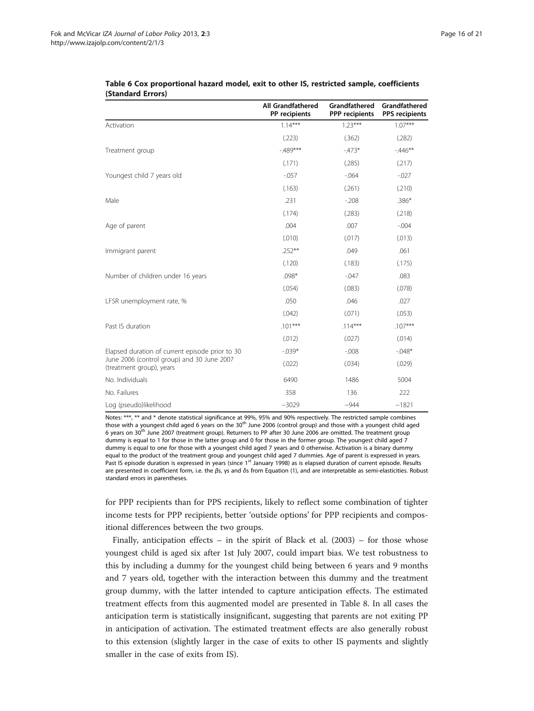|                                                                        | <b>All Grandfathered</b><br>PP recipients | Grandfathered<br>PPP recipients | Grandfathered<br><b>PPS</b> recipients |
|------------------------------------------------------------------------|-------------------------------------------|---------------------------------|----------------------------------------|
| Activation                                                             | $1.14***$                                 | $1.23***$                       | $1.07***$                              |
|                                                                        | (.223)                                    | (.362)                          | (.282)                                 |
| Treatment group                                                        | $-489***$                                 | $-473*$                         | $-446**$                               |
|                                                                        | (.171)                                    | (.285)                          | (.217)                                 |
| Youngest child 7 years old                                             | $-0.057$                                  | $-064$                          | $-0.027$                               |
|                                                                        | (.163)                                    | (.261)                          | (.210)                                 |
| Male                                                                   | .231                                      | $-208$                          | $.386*$                                |
|                                                                        | (.174)                                    | (.283)                          | (.218)                                 |
| Age of parent                                                          | .004                                      | .007                            | $-0.004$                               |
|                                                                        | (.010)                                    | (.017)                          | (.013)                                 |
| Immigrant parent                                                       | $.252***$                                 | .049                            | .061                                   |
|                                                                        | (.120)                                    | (.183)                          | (.175)                                 |
| Number of children under 16 years                                      | $.098*$                                   | $-0.047$                        | .083                                   |
|                                                                        | (.054)                                    | (.083)                          | (.078)                                 |
| LFSR unemployment rate, %                                              | .050                                      | .046                            | .027                                   |
|                                                                        | (.042)                                    | (.071)                          | (.053)                                 |
| Past IS duration                                                       | $.101***$                                 | $.114***$                       | $.107***$                              |
|                                                                        | (.012)                                    | (.027)                          | (.014)                                 |
| Elapsed duration of current episode prior to 30                        | $-0.039*$                                 | $-0.008$                        | $-0.048*$                              |
| June 2006 (control group) and 30 June 2007<br>(treatment group), years | (.022)                                    | (.034)                          | (.029)                                 |
| No. Individuals                                                        | 6490                                      | 1486                            | 5004                                   |
| No. Failures                                                           | 358                                       | 136                             | 222                                    |
| Log (pseudo)likelihood                                                 | $-3029$                                   | $-944$                          | $-1821$                                |

#### <span id="page-16-0"></span>Table 6 Cox proportional hazard model, exit to other IS, restricted sample, coefficients (Standard Errors)

Notes: \*\*\*, \*\* and \* denote statistical significance at 99%, 95% and 90% respectively. The restricted sample combines those with a youngest child aged 6 years on the 30<sup>th</sup> June 2006 (control group) and those with a youngest child aged 6 years on 30th June 2007 (treatment group). Returners to PP after 30 June 2006 are omitted. The treatment group dummy is equal to 1 for those in the latter group and 0 for those in the former group. The youngest child aged 7 dummy is equal to one for those with a youngest child aged 7 years and 0 otherwise. Activation is a binary dummy equal to the product of the treatment group and youngest child aged 7 dummies. Age of parent is expressed in years. Past IS episode duration is expressed in years (since 1<sup>st</sup> January 1998) as is elapsed duration of current episode. Results are presented in coefficient form, i.e. the  $βs$ , γs and  $δs$  from Equation [\(1\)](#page-12-0), and are interpretable as semi-elasticities. Robust standard errors in parentheses.

for PPP recipients than for PPS recipients, likely to reflect some combination of tighter income tests for PPP recipients, better 'outside options' for PPP recipients and compositional differences between the two groups.

Finally, anticipation effects – in the spirit of Black et al.  $(2003)$  – for those whose youngest child is aged six after 1st July 2007, could impart bias. We test robustness to this by including a dummy for the youngest child being between 6 years and 9 months and 7 years old, together with the interaction between this dummy and the treatment group dummy, with the latter intended to capture anticipation effects. The estimated treatment effects from this augmented model are presented in Table [8.](#page-18-0) In all cases the anticipation term is statistically insignificant, suggesting that parents are not exiting PP in anticipation of activation. The estimated treatment effects are also generally robust to this extension (slightly larger in the case of exits to other IS payments and slightly smaller in the case of exits from IS).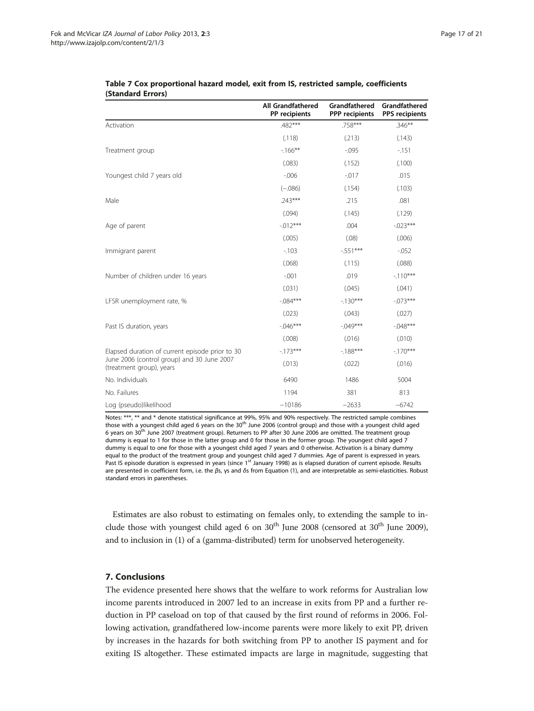|                                                                        | <b>All Grandfathered</b><br>PP recipients | Grandfathered<br>PPP recipients | Grandfathered<br><b>PPS</b> recipients |
|------------------------------------------------------------------------|-------------------------------------------|---------------------------------|----------------------------------------|
| Activation                                                             | .482***                                   | .758***                         | $.346**$                               |
|                                                                        | (.118)                                    | (.213)                          | (.143)                                 |
| Treatment group                                                        | $-166***$                                 | $-0.095$                        | $-151$                                 |
|                                                                        | (.083)                                    | (.152)                          | (.100)                                 |
| Youngest child 7 years old                                             | $-0.006$                                  | $-0.017$                        | .015                                   |
|                                                                        | $(-.086)$                                 | (.154)                          | (.103)                                 |
| Male                                                                   | $.243***$                                 | .215                            | .081                                   |
|                                                                        | (.094)                                    | (.145)                          | (.129)                                 |
| Age of parent                                                          | $-0.012***$                               | .004                            | $-0.023***$                            |
|                                                                        | (.005)                                    | (.08)                           | (.006)                                 |
| Immigrant parent                                                       | $-103$                                    | $-551***$                       | $-0.052$                               |
|                                                                        | (.068)                                    | (.115)                          | (.088)                                 |
| Number of children under 16 years                                      | $-.001$                                   | .019                            | $-110***$                              |
|                                                                        | (.031)                                    | (.045)                          | (.041)                                 |
| LFSR unemployment rate, %                                              | $-.084***$                                | $-130***$                       | $-073***$                              |
|                                                                        | (.023)                                    | (.043)                          | (.027)                                 |
| Past IS duration, years                                                | $-0.046***$                               | $-0.049***$                     | $-0.048***$                            |
|                                                                        | (.008)                                    | (.016)                          | (.010)                                 |
| Elapsed duration of current episode prior to 30                        | $-173***$                                 | $-188***$                       | $-170***$                              |
| June 2006 (control group) and 30 June 2007<br>(treatment group), years | (.013)                                    | (.022)                          | (.016)                                 |
| No. Individuals                                                        | 6490                                      | 1486                            | 5004                                   |
| No. Failures                                                           | 1194                                      | 381                             | 813                                    |
| Log (pseudo)likelihood                                                 | $-10186$                                  | $-2633$                         | $-6742$                                |

<span id="page-17-0"></span>

| Table 7 Cox proportional hazard model, exit from IS, restricted sample, coefficients |  |  |
|--------------------------------------------------------------------------------------|--|--|
| (Standard Errors)                                                                    |  |  |

Notes: \*\*\*, \*\* and \* denote statistical significance at 99%, 95% and 90% respectively. The restricted sample combines those with a youngest child aged 6 years on the 30<sup>th</sup> June 2006 (control group) and those with a youngest child aged 6 years on 30th June 2007 (treatment group). Returners to PP after 30 June 2006 are omitted. The treatment group dummy is equal to 1 for those in the latter group and 0 for those in the former group. The youngest child aged 7 dummy is equal to one for those with a youngest child aged 7 years and 0 otherwise. Activation is a binary dummy equal to the product of the treatment group and youngest child aged 7 dummies. Age of parent is expressed in years. Past IS episode duration is expressed in years (since 1<sup>st</sup> January 1998) as is elapsed duration of current episode. Results are presented in coefficient form, i.e. the  $βs$ , γs and  $δs$  from Equation [\(1\)](#page-12-0), and are interpretable as semi-elasticities. Robust standard errors in parentheses.

Estimates are also robust to estimating on females only, to extending the sample to include those with youngest child aged 6 on  $30<sup>th</sup>$  June 2008 (censored at  $30<sup>th</sup>$  June 2009), and to inclusion in (1) of a (gamma-distributed) term for unobserved heterogeneity.

# 7. Conclusions

The evidence presented here shows that the welfare to work reforms for Australian low income parents introduced in 2007 led to an increase in exits from PP and a further reduction in PP caseload on top of that caused by the first round of reforms in 2006. Following activation, grandfathered low-income parents were more likely to exit PP, driven by increases in the hazards for both switching from PP to another IS payment and for exiting IS altogether. These estimated impacts are large in magnitude, suggesting that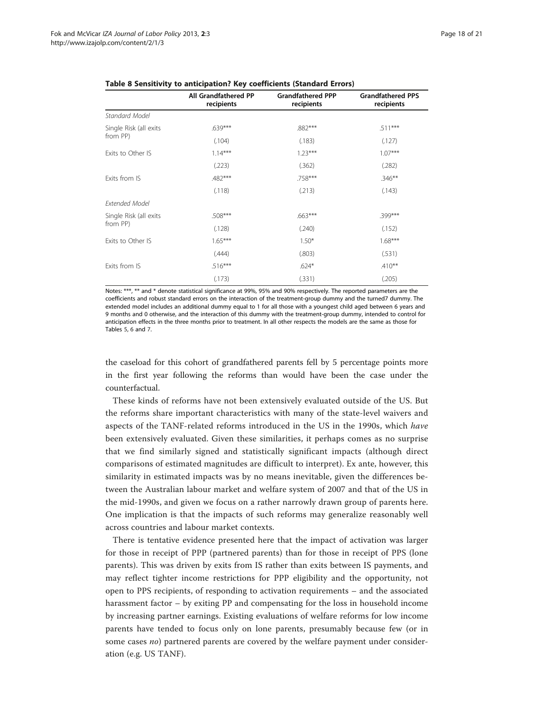|                        | All Grandfathered PP<br>recipients | <b>Grandfathered PPP</b><br>recipients | <b>Grandfathered PPS</b><br>recipients |
|------------------------|------------------------------------|----------------------------------------|----------------------------------------|
| Standard Model         |                                    |                                        |                                        |
| Single Risk (all exits | $.639***$                          | $.882***$                              | $.511***$                              |
| from PP)               | (.104)                             | (.183)                                 | (.127)                                 |
| Exits to Other IS      | $1.14***$                          | $1.23***$                              | $1.07***$                              |
|                        | (.223)                             | (.362)                                 | (.282)                                 |
| Exits from IS          | .482***                            | .758***                                | $.346**$                               |
|                        | (.118)                             | (.213)                                 | (.143)                                 |
| Extended Model         |                                    |                                        |                                        |
| Single Risk (all exits | .508***                            | $.663***$                              | .399***                                |
| from PP)               | (.128)                             | (.240)                                 | (.152)                                 |
| Exits to Other IS      | $1.65***$                          | $1.50*$                                | $1.68***$                              |
|                        | (.444)                             | (.803)                                 | (.531)                                 |
| Exits from IS          | $.516***$                          | $.624*$                                | $.410***$                              |
|                        | (.173)                             | (.331)                                 | (.205)                                 |

#### <span id="page-18-0"></span>Table 8 Sensitivity to anticipation? Key coefficients (Standard Errors)

Notes: \*\*\*, \*\* and \* denote statistical significance at 99%, 95% and 90% respectively. The reported parameters are the coefficients and robust standard errors on the interaction of the treatment-group dummy and the turned7 dummy. The extended model includes an additional dummy equal to 1 for all those with a youngest child aged between 6 years and 9 months and 0 otherwise, and the interaction of this dummy with the treatment-group dummy, intended to control for anticipation effects in the three months prior to treatment. In all other respects the models are the same as those for Tables [5,](#page-14-0) [6](#page-16-0) and [7.](#page-17-0)

the caseload for this cohort of grandfathered parents fell by 5 percentage points more in the first year following the reforms than would have been the case under the counterfactual.

These kinds of reforms have not been extensively evaluated outside of the US. But the reforms share important characteristics with many of the state-level waivers and aspects of the TANF-related reforms introduced in the US in the 1990s, which have been extensively evaluated. Given these similarities, it perhaps comes as no surprise that we find similarly signed and statistically significant impacts (although direct comparisons of estimated magnitudes are difficult to interpret). Ex ante, however, this similarity in estimated impacts was by no means inevitable, given the differences between the Australian labour market and welfare system of 2007 and that of the US in the mid-1990s, and given we focus on a rather narrowly drawn group of parents here. One implication is that the impacts of such reforms may generalize reasonably well across countries and labour market contexts.

There is tentative evidence presented here that the impact of activation was larger for those in receipt of PPP (partnered parents) than for those in receipt of PPS (lone parents). This was driven by exits from IS rather than exits between IS payments, and may reflect tighter income restrictions for PPP eligibility and the opportunity, not open to PPS recipients, of responding to activation requirements – and the associated harassment factor – by exiting PP and compensating for the loss in household income by increasing partner earnings. Existing evaluations of welfare reforms for low income parents have tended to focus only on lone parents, presumably because few (or in some cases no) partnered parents are covered by the welfare payment under consideration (e.g. US TANF).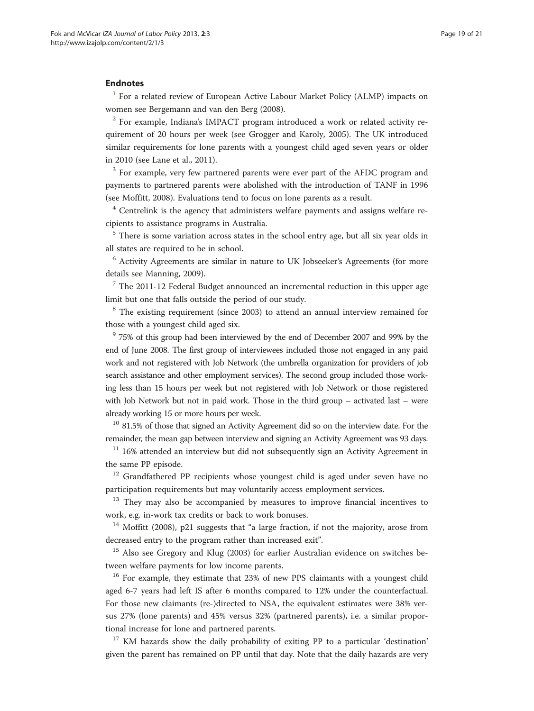#### **Endnotes**

<sup>1</sup> For a related review of European Active Labour Market Policy (ALMP) impacts on women see Bergemann and van den Berg [\(2008](#page-21-0)).

<sup>2</sup> For example, Indiana's IMPACT program introduced a work or related activity requirement of 20 hours per week (see Grogger and Karoly, [2005](#page-21-0)). The UK introduced similar requirements for lone parents with a youngest child aged seven years or older in 2010 (see Lane et al., [2011](#page-21-0)).

<sup>3</sup> For example, very few partnered parents were ever part of the AFDC program and payments to partnered parents were abolished with the introduction of TANF in 1996 (see Moffitt, [2008\)](#page-21-0). Evaluations tend to focus on lone parents as a result.

<sup>4</sup> Centrelink is the agency that administers welfare payments and assigns welfare recipients to assistance programs in Australia.

<sup>5</sup> There is some variation across states in the school entry age, but all six year olds in all states are required to be in school.

<sup>6</sup> Activity Agreements are similar in nature to UK Jobseeker's Agreements (for more details see Manning, [2009](#page-21-0)).

 $7$  The 2011-12 Federal Budget announced an incremental reduction in this upper age limit but one that falls outside the period of our study.

<sup>8</sup> The existing requirement (since 2003) to attend an annual interview remained for those with a youngest child aged six.

<sup>9</sup> 75% of this group had been interviewed by the end of December 2007 and 99% by the end of June 2008. The first group of interviewees included those not engaged in any paid work and not registered with Job Network (the umbrella organization for providers of job search assistance and other employment services). The second group included those working less than 15 hours per week but not registered with Job Network or those registered with Job Network but not in paid work. Those in the third group – activated last – were already working 15 or more hours per week.

<sup>10</sup> 81.5% of those that signed an Activity Agreement did so on the interview date. For the remainder, the mean gap between interview and signing an Activity Agreement was 93 days.

<sup>11</sup> 16% attended an interview but did not subsequently sign an Activity Agreement in the same PP episode.

 $12$  Grandfathered PP recipients whose youngest child is aged under seven have no participation requirements but may voluntarily access employment services.

<sup>13</sup> They may also be accompanied by measures to improve financial incentives to work, e.g. in-work tax credits or back to work bonuses.

<sup>14</sup> Moffitt [\(2008](#page-21-0)), p21 suggests that "a large fraction, if not the majority, arose from decreased entry to the program rather than increased exit".

<sup>15</sup> Also see Gregory and Klug [\(2003](#page-21-0)) for earlier Australian evidence on switches between welfare payments for low income parents.

<sup>16</sup> For example, they estimate that 23% of new PPS claimants with a youngest child aged 6-7 years had left IS after 6 months compared to 12% under the counterfactual. For those new claimants (re-)directed to NSA, the equivalent estimates were 38% versus 27% (lone parents) and 45% versus 32% (partnered parents), i.e. a similar proportional increase for lone and partnered parents.

<sup>17</sup> KM hazards show the daily probability of exiting PP to a particular 'destination' given the parent has remained on PP until that day. Note that the daily hazards are very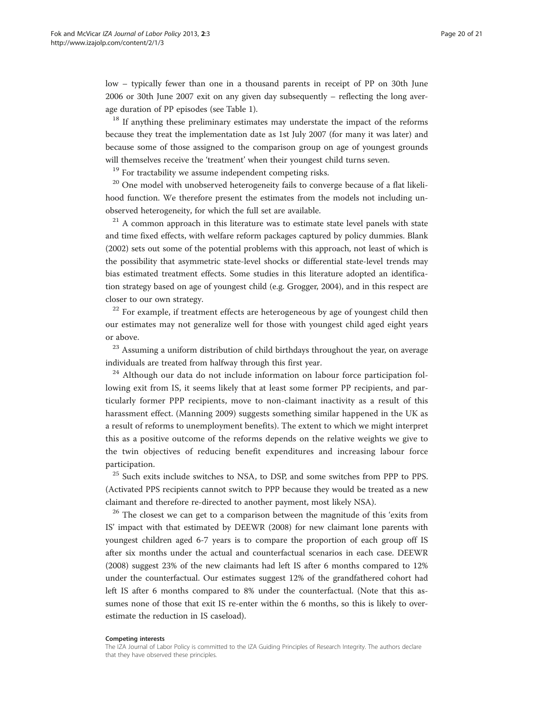low – typically fewer than one in a thousand parents in receipt of PP on 30th June 2006 or 30th June 2007 exit on any given day subsequently – reflecting the long average duration of PP episodes (see Table [1](#page-8-0)).

<sup>18</sup> If anything these preliminary estimates may understate the impact of the reforms because they treat the implementation date as 1st July 2007 (for many it was later) and because some of those assigned to the comparison group on age of youngest grounds will themselves receive the 'treatment' when their youngest child turns seven.

<sup>19</sup> For tractability we assume independent competing risks.

 $20$  One model with unobserved heterogeneity fails to converge because of a flat likelihood function. We therefore present the estimates from the models not including unobserved heterogeneity, for which the full set are available.

 $21$  A common approach in this literature was to estimate state level panels with state and time fixed effects, with welfare reform packages captured by policy dummies. Blank ([2002](#page-21-0)) sets out some of the potential problems with this approach, not least of which is the possibility that asymmetric state-level shocks or differential state-level trends may bias estimated treatment effects. Some studies in this literature adopted an identification strategy based on age of youngest child (e.g. Grogger, [2004\)](#page-21-0), and in this respect are closer to our own strategy.

<sup>22</sup> For example, if treatment effects are heterogeneous by age of youngest child then our estimates may not generalize well for those with youngest child aged eight years or above.

<sup>23</sup> Assuming a uniform distribution of child birthdays throughout the year, on average individuals are treated from halfway through this first year.

<sup>24</sup> Although our data do not include information on labour force participation following exit from IS, it seems likely that at least some former PP recipients, and particularly former PPP recipients, move to non-claimant inactivity as a result of this harassment effect. (Manning [2009](#page-21-0)) suggests something similar happened in the UK as a result of reforms to unemployment benefits). The extent to which we might interpret this as a positive outcome of the reforms depends on the relative weights we give to the twin objectives of reducing benefit expenditures and increasing labour force participation.

<sup>25</sup> Such exits include switches to NSA, to DSP, and some switches from PPP to PPS. (Activated PPS recipients cannot switch to PPP because they would be treated as a new claimant and therefore re-directed to another payment, most likely NSA).

<sup>26</sup> The closest we can get to a comparison between the magnitude of this 'exits from IS' impact with that estimated by DEEWR ([2008](#page-21-0)) for new claimant lone parents with youngest children aged 6-7 years is to compare the proportion of each group off IS after six months under the actual and counterfactual scenarios in each case. DEEWR ([2008](#page-21-0)) suggest 23% of the new claimants had left IS after 6 months compared to 12% under the counterfactual. Our estimates suggest 12% of the grandfathered cohort had left IS after 6 months compared to 8% under the counterfactual. (Note that this assumes none of those that exit IS re-enter within the 6 months, so this is likely to overestimate the reduction in IS caseload).

#### Competing interests

The IZA Journal of Labor Policy is committed to the IZA Guiding Principles of Research Integrity. The authors declare that they have observed these principles.